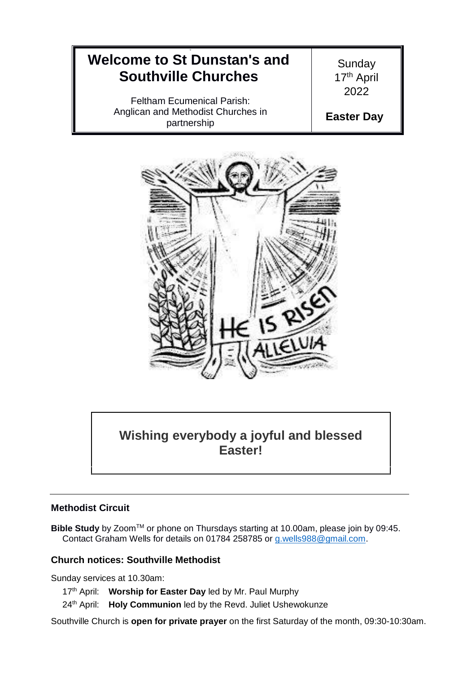#### 9 **Welcome to St Dunstan's and Southville Churches** Feltham Ecumenical Parish: Anglican and Methodist Churches in partnership **Sunday** 17<sup>th</sup> April 2022 **Easter Day**



# **Wishing everybody a joyful and blessed Easter!**

## **Methodist Circuit**

**Bible Study** by Zoom™ or phone on Thursdays starting at 10.00am, please join by 09:45. Contact Graham Wells for details on 01784 258785 or [g.wells988@gmail.com.](mailto:g.wells988@gmail.com)

## **Church notices: Southville Methodist**

Sunday services at 10.30am:

17<sup>th</sup> April: Worship for Easter Day led by Mr. Paul Murphy

24<sup>th</sup> April: **Holy Communion** led by the Revd. Juliet Ushewokunze

Southville Church is **open for private prayer** on the first Saturday of the month, 09:30-10:30am.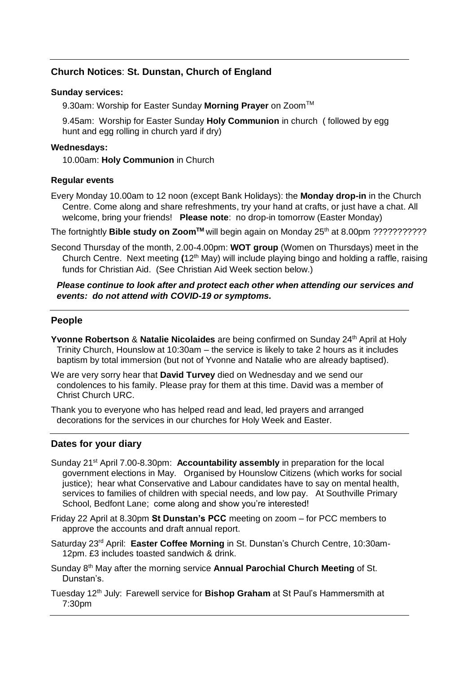## **Church Notices**: **St. Dunstan, Church of England**

#### **Sunday services:**

9.30am: Worship for Easter Sunday Morning Prayer on Zoom<sup>™</sup>

9.45am: Worship for Easter Sunday **Holy Communion** in church ( followed by egg hunt and egg rolling in church yard if dry)

#### **Wednesdays:**

10.00am: **Holy Communion** in Church

#### **Regular events**

Every Monday 10.00am to 12 noon (except Bank Holidays): the **Monday drop-in** in the Church Centre. Come along and share refreshments, try your hand at crafts, or just have a chat. All welcome, bring your friends! **Please note**: no drop-in tomorrow (Easter Monday)

The fortnightly **Bible study on Zoom™** will begin again on Monday 25<sup>th</sup> at 8.00pm ????????????

Second Thursday of the month, 2.00-4.00pm: **WOT group** (Women on Thursdays) meet in the Church Centre. Next meeting **(**12th May) will include playing bingo and holding a raffle, raising funds for Christian Aid. (See Christian Aid Week section below.)

## *Please continue to look after and protect each other when attending our services and events: do not attend with COVID-19 or symptoms.*

## **People**

- **Yvonne Robertson & Natalie Nicolaides** are being confirmed on Sunday 24<sup>th</sup> April at Holy Trinity Church, Hounslow at 10:30am – the service is likely to take 2 hours as it includes baptism by total immersion (but not of Yvonne and Natalie who are already baptised).
- We are very sorry hear that **David Turvey** died on Wednesday and we send our condolences to his family. Please pray for them at this time. David was a member of Christ Church URC.

Thank you to everyone who has helped read and lead, led prayers and arranged decorations for the services in our churches for Holy Week and Easter.

## **Dates for your diary**

- Sunday 21st April 7.00-8.30pm: **Accountability assembly** in preparation for the local government elections in May. Organised by Hounslow Citizens (which works for social justice); hear what Conservative and Labour candidates have to say on mental health, services to families of children with special needs, and low pay. At Southville Primary School, Bedfont Lane; come along and show you're interested!
- Friday 22 April at 8.30pm **St Dunstan's PCC** meeting on zoom for PCC members to approve the accounts and draft annual report.
- Saturday 23rd April: **Easter Coffee Morning** in St. Dunstan's Church Centre, 10:30am-12pm. £3 includes toasted sandwich & drink.
- Sunday 8th May after the morning service **Annual Parochial Church Meeting** of St. Dunstan's.
- Tuesday 12th July: Farewell service for **Bishop Graham** at St Paul's Hammersmith at 7:30pm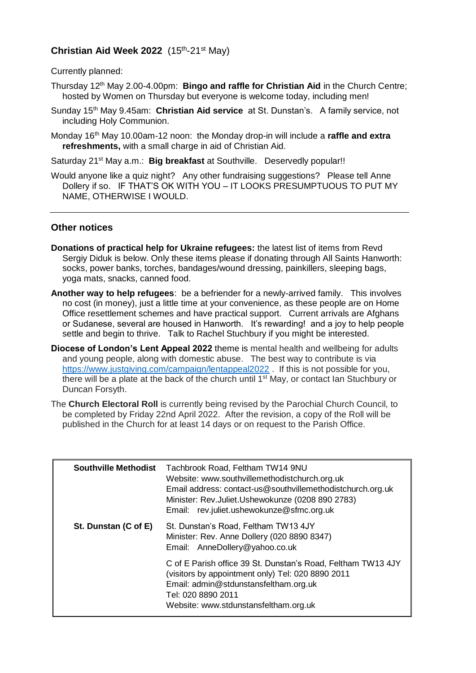## **Christian Aid Week 2022** (15th -21st May)

Currently planned:

- Thursday 12th May 2.00-4.00pm: **Bingo and raffle for Christian Aid** in the Church Centre; hosted by Women on Thursday but everyone is welcome today, including men!
- Sunday 15th May 9.45am: **Christian Aid service** at St. Dunstan's. A family service, not including Holy Communion.
- Monday 16<sup>th</sup> May 10.00am-12 noon: the Monday drop-in will include a raffle and extra **refreshments,** with a small charge in aid of Christian Aid.

Saturday 21<sup>st</sup> May a.m.: **Big breakfast** at Southville. Deservedly popular!!

Would anyone like a quiz night? Any other fundraising suggestions? Please tell Anne Dollery if so. IF THAT'S OK WITH YOU – IT LOOKS PRESUMPTUOUS TO PUT MY NAME, OTHERWISE I WOULD.

## **Other notices**

- **Donations of practical help for Ukraine refugees:** the latest list of items from Revd Sergiy Diduk is below. Only these items please if donating through All Saints Hanworth: socks, power banks, torches, bandages/wound dressing, painkillers, sleeping bags, yoga mats, snacks, canned food.
- **Another way to help refugees**: be a befriender for a newly-arrived family. This involves no cost (in money), just a little time at your convenience, as these people are on Home Office resettlement schemes and have practical support. Current arrivals are Afghans or Sudanese, several are housed in Hanworth. It's rewarding! and a joy to help people settle and begin to thrive. Talk to Rachel Stuchbury if you might be interested.
- **Diocese of London's Lent Appeal 2022** theme is mental health and wellbeing for adults and young people, along with domestic abuse. The best way to contribute is via <https://www.justgiving.com/campaign/lentappeal2022>. If this is not possible for you, there will be a plate at the back of the church until 1<sup>st</sup> May, or contact Ian Stuchbury or Duncan Forsyth.
- The **Church Electoral Roll** is currently being revised by the Parochial Church Council, to be completed by Friday 22nd April 2022. After the revision, a copy of the Roll will be published in the Church for at least 14 days or on request to the Parish Office.

| <b>Southville Methodist</b> | Tachbrook Road, Feltham TW14 9NU<br>Website: www.southvillemethodistchurch.org.uk<br>Email address: contact-us@southvillemethodistchurch.org.uk<br>Minister: Rev.Juliet.Ushewokunze (0208 890 2783)<br>Email: rev.juliet.ushewokunze@sfmc.org.uk |
|-----------------------------|--------------------------------------------------------------------------------------------------------------------------------------------------------------------------------------------------------------------------------------------------|
| St. Dunstan (C of E)        | St. Dunstan's Road, Feltham TW13 4JY<br>Minister: Rev. Anne Dollery (020 8890 8347)<br>Email: AnneDollery@yahoo.co.uk                                                                                                                            |
|                             | C of E Parish office 39 St. Dunstan's Road, Feltham TW13 4JY<br>(visitors by appointment only) Tel: 020 8890 2011<br>Email: admin@stdunstansfeltham.org.uk<br>Tel: 020 8890 2011<br>Website: www.stdunstansfeltham.org.uk                        |